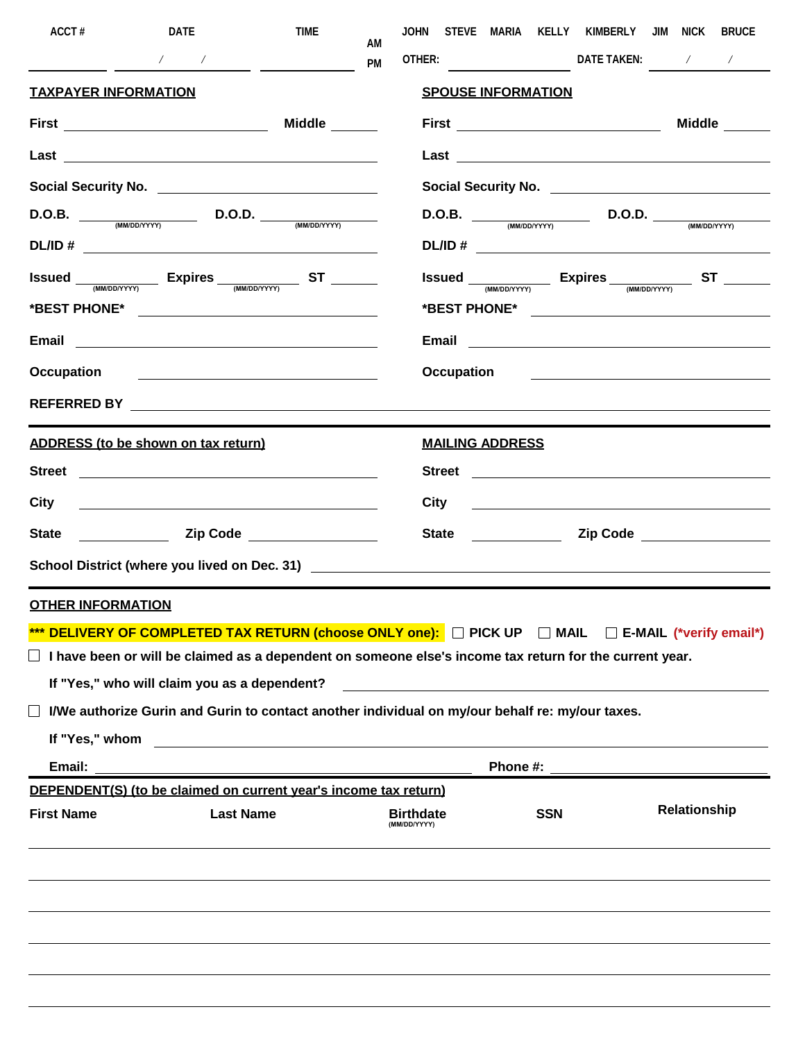| ACCT#                       | DATE                                                                                                                                                                                                                                                                                                                                                                                                                           | <b>TIME</b>                                   | AM | JOHN                             | STEVE MARIA KELLY KIMBERLY JIM NICK                                                                                                                                                                                                  |                                                                                                                            |              | BRUCE         |
|-----------------------------|--------------------------------------------------------------------------------------------------------------------------------------------------------------------------------------------------------------------------------------------------------------------------------------------------------------------------------------------------------------------------------------------------------------------------------|-----------------------------------------------|----|----------------------------------|--------------------------------------------------------------------------------------------------------------------------------------------------------------------------------------------------------------------------------------|----------------------------------------------------------------------------------------------------------------------------|--------------|---------------|
|                             | $\begin{array}{cccccccccc} \sqrt{2} & \sqrt{2} & \sqrt{2} & \sqrt{2} & \sqrt{2} & \sqrt{2} & \sqrt{2} & \sqrt{2} & \sqrt{2} & \sqrt{2} & \sqrt{2} & \sqrt{2} & \sqrt{2} & \sqrt{2} & \sqrt{2} & \sqrt{2} & \sqrt{2} & \sqrt{2} & \sqrt{2} & \sqrt{2} & \sqrt{2} & \sqrt{2} & \sqrt{2} & \sqrt{2} & \sqrt{2} & \sqrt{2} & \sqrt{2} & \sqrt{2} & \sqrt{2} & \sqrt{2} & \sqrt{2} & \sqrt{2} & \sqrt{2} & \sqrt{2} & \sqrt{2} & \$ | $\overline{\phantom{a}}$                      | PM |                                  |                                                                                                                                                                                                                                      |                                                                                                                            |              |               |
| <b>TAXPAYER INFORMATION</b> |                                                                                                                                                                                                                                                                                                                                                                                                                                |                                               |    |                                  | <b>SPOUSE INFORMATION</b>                                                                                                                                                                                                            |                                                                                                                            |              |               |
|                             | <b>First</b> _________________________________                                                                                                                                                                                                                                                                                                                                                                                 | Middle                                        |    |                                  | <b>First</b> _____________________________                                                                                                                                                                                           |                                                                                                                            |              | <b>Middle</b> |
|                             |                                                                                                                                                                                                                                                                                                                                                                                                                                |                                               |    |                                  |                                                                                                                                                                                                                                      |                                                                                                                            |              |               |
|                             |                                                                                                                                                                                                                                                                                                                                                                                                                                |                                               |    |                                  |                                                                                                                                                                                                                                      |                                                                                                                            |              |               |
|                             | $D.O.B.$ $D.O.D.$ $(MMDDAYYY)$ $D.O.D.$ $(MMDDYYYY)$                                                                                                                                                                                                                                                                                                                                                                           |                                               |    |                                  | $D.O.B.$ $D.O.D.$ $(MMDD/YYY)$ $D.O.D.$ $(MMDDYYYY)$                                                                                                                                                                                 |                                                                                                                            |              |               |
|                             |                                                                                                                                                                                                                                                                                                                                                                                                                                |                                               |    |                                  |                                                                                                                                                                                                                                      |                                                                                                                            |              |               |
|                             | <b>Issued</b> <u>(MM/DD/YYY)</u> Expires <sub>(MM/DD/YYY)</sub> ST ______                                                                                                                                                                                                                                                                                                                                                      |                                               |    |                                  | Issued <sub>(MM/DD/YYY)</sub> Expires <sub>(MM/DD/YYY)</sub> ST _____                                                                                                                                                                |                                                                                                                            |              |               |
|                             | Email 2008 2010 2021 2022 2023 2024 2022 2022 2023 2024 2022 2023 2024 2022 2023 2024 2022 2023 2024 2022 2023                                                                                                                                                                                                                                                                                                                 |                                               |    |                                  |                                                                                                                                                                                                                                      |                                                                                                                            |              |               |
| Occupation                  | <u> 1980 - Andrea Station, amerikan bizko bat eta bizko bat erabarra (h. 1980).</u>                                                                                                                                                                                                                                                                                                                                            |                                               |    |                                  | Occupation <u>example and the set of the set of the set of the set of the set of the set of the set of the set of the set of the set of the set of the set of the set of the set of the set of the set of the set of the set of </u> |                                                                                                                            |              |               |
|                             | REFERRED BY Processor and the contract of the contract of the contract of the contract of the contract of the contract of the contract of the contract of the contract of the contract of the contract of the contract of the                                                                                                                                                                                                  |                                               |    |                                  |                                                                                                                                                                                                                                      |                                                                                                                            |              |               |
|                             | ADDRESS (to be shown on tax return)                                                                                                                                                                                                                                                                                                                                                                                            |                                               |    |                                  | <b>MAILING ADDRESS</b>                                                                                                                                                                                                               |                                                                                                                            |              |               |
| <b>Street</b>               | <u> 1980 - Andrea Barbara, política española (h. 1980).</u>                                                                                                                                                                                                                                                                                                                                                                    |                                               |    |                                  |                                                                                                                                                                                                                                      |                                                                                                                            |              |               |
| City                        | <u> 1989 - Johann Stoff, deutscher Stoffen und der Stoffen und der Stoffen und der Stoffen und der Stoffen und de</u>                                                                                                                                                                                                                                                                                                          |                                               |    | <b>City</b>                      | <u> 1989 - Johann Stein, mars and de Branch and de Branch and de Branch and de Branch and de Branch and de Branch</u>                                                                                                                |                                                                                                                            |              |               |
| <b>State</b>                | <u>Note</u> 2ip Code <b>CODE 21 April 21 April 21 April 21 April 21 April 21 April 21 April 21 April 21 April 21 April 21 April 21 April 21 April 21 April 21 April 21 April 21 April 21 April 21 April 21 April 21 April 21 April 21</b>                                                                                                                                                                                      |                                               |    |                                  | State <u>with the state</u>                                                                                                                                                                                                          | Zip Code <u>New York State Andrew York State Andrew York State Andrew York State Andrew York State Andrew York State A</u> |              |               |
|                             |                                                                                                                                                                                                                                                                                                                                                                                                                                |                                               |    |                                  |                                                                                                                                                                                                                                      |                                                                                                                            |              |               |
| <b>OTHER INFORMATION</b>    |                                                                                                                                                                                                                                                                                                                                                                                                                                |                                               |    |                                  |                                                                                                                                                                                                                                      |                                                                                                                            |              |               |
|                             | *** DELIVERY OF COMPLETED TAX RETURN (choose ONLY one): D PICK UP D MAIL D E-MAIL (*verify email*)                                                                                                                                                                                                                                                                                                                             |                                               |    |                                  |                                                                                                                                                                                                                                      |                                                                                                                            |              |               |
|                             | $\Box$ I have been or will be claimed as a dependent on someone else's income tax return for the current year.                                                                                                                                                                                                                                                                                                                 |                                               |    |                                  |                                                                                                                                                                                                                                      |                                                                                                                            |              |               |
|                             | If "Yes," who will claim you as a dependent?                                                                                                                                                                                                                                                                                                                                                                                   |                                               |    |                                  |                                                                                                                                                                                                                                      |                                                                                                                            |              |               |
|                             | I/We authorize Gurin and Gurin to contact another individual on my/our behalf re: my/our taxes.                                                                                                                                                                                                                                                                                                                                |                                               |    |                                  |                                                                                                                                                                                                                                      |                                                                                                                            |              |               |
| If "Yes," whom<br>Email:    |                                                                                                                                                                                                                                                                                                                                                                                                                                | <u> 1980 - Jan Samuel Barbara, margaret e</u> |    |                                  | Phone #:                                                                                                                                                                                                                             |                                                                                                                            |              |               |
|                             | DEPENDENT(S) (to be claimed on current year's income tax return)                                                                                                                                                                                                                                                                                                                                                               |                                               |    |                                  |                                                                                                                                                                                                                                      |                                                                                                                            |              |               |
| <b>First Name</b>           | <b>Last Name</b>                                                                                                                                                                                                                                                                                                                                                                                                               |                                               |    | <b>Birthdate</b><br>(MM/DD/YYYY) | <b>SSN</b>                                                                                                                                                                                                                           |                                                                                                                            | Relationship |               |
|                             |                                                                                                                                                                                                                                                                                                                                                                                                                                |                                               |    |                                  |                                                                                                                                                                                                                                      |                                                                                                                            |              |               |
|                             |                                                                                                                                                                                                                                                                                                                                                                                                                                |                                               |    |                                  |                                                                                                                                                                                                                                      |                                                                                                                            |              |               |
|                             |                                                                                                                                                                                                                                                                                                                                                                                                                                |                                               |    |                                  |                                                                                                                                                                                                                                      |                                                                                                                            |              |               |
|                             |                                                                                                                                                                                                                                                                                                                                                                                                                                |                                               |    |                                  |                                                                                                                                                                                                                                      |                                                                                                                            |              |               |
|                             |                                                                                                                                                                                                                                                                                                                                                                                                                                |                                               |    |                                  |                                                                                                                                                                                                                                      |                                                                                                                            |              |               |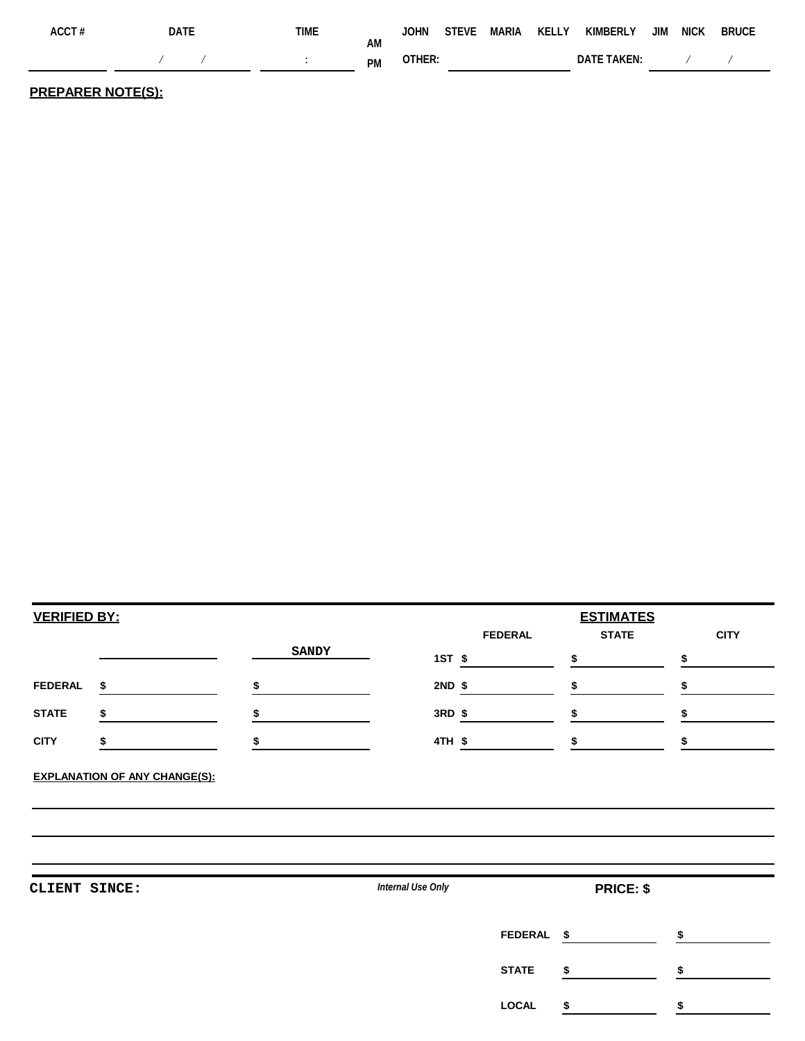| ACCT# | DATF | time                                       |                 |        |  | JOHN STEVE MARIA KELLY KIMBERLY JIM NICK BRUCE |  |  |
|-------|------|--------------------------------------------|-----------------|--------|--|------------------------------------------------|--|--|
|       |      | <b>Contract Contract Contract Contract</b> | ΑM<br><b>PM</b> | OTHER: |  | DATF TAKEN:                                    |  |  |

**PREPARER NOTE(S):**

| <b>VERIFIED BY:</b> |              |                   |                | <b>ESTIMATES</b>   |                   |
|---------------------|--------------|-------------------|----------------|--------------------|-------------------|
|                     | <b>SANDY</b> | 1ST \$            | <b>FEDERAL</b> | <b>STATE</b><br>\$ | <b>CITY</b><br>\$ |
| <b>FEDERAL</b>      | \$<br>\$     | 2ND \$            |                |                    | \$                |
| <b>STATE</b>        | \$<br>S      | 3RD \$            |                | \$                 | \$                |
| <b>CITY</b>         | \$           | 4TH \$            |                | \$                 | \$                |
|                     |              |                   |                |                    |                   |
|                     |              | Internal Use Only |                | <b>PRICE: \$</b>   |                   |
|                     |              |                   | <b>FEDERAL</b> | -\$                | \$                |
| CLIENT SINCE:       |              |                   | <b>STATE</b>   | \$                 | \$                |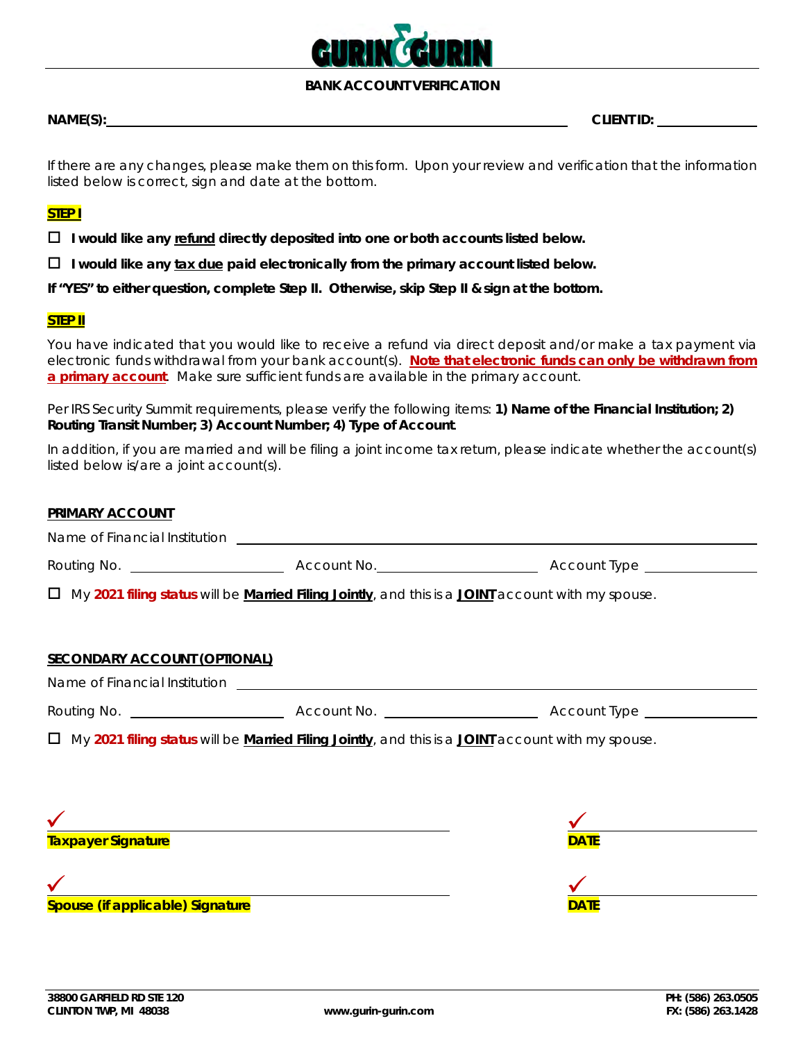

## **BANK ACCOUNT VERIFICATION**

**NAME(S): CLIENT ID:** 

If there are any changes, please make them on this form. Upon your review and verification that the information listed below is correct, sign and date at the bottom.

# **STEP I**

**I would like any refund directly deposited into one or both accounts listed below.**

**I would like any tax due paid electronically from the primary account listed below.**

**If "YES" to either question, complete Step II. Otherwise, skip Step II & sign at the bottom.**

### **STEP II**

You have indicated that you would like to receive a refund via direct deposit and/or make a tax payment via electronic funds withdrawal from your bank account(s). **Note that electronic funds can only be withdrawn from a primary account**. Make sure sufficient funds are available in the primary account.

Per IRS Security Summit requirements, please verify the following items: **1) Name of the Financial Institution; 2) Routing Transit Number; 3) Account Number; 4) Type of Account**.

In addition, if you are married and will be filing a joint income tax return, please indicate whether the account(s) listed below is/are a joint account(s).

| <b>PRIMARY ACCOUNT</b>              |                                                                                                                         |                                                                    |
|-------------------------------------|-------------------------------------------------------------------------------------------------------------------------|--------------------------------------------------------------------|
|                                     |                                                                                                                         |                                                                    |
|                                     |                                                                                                                         | Routing No. 2008. Account No. 2008. Account No. 2009. Account Type |
|                                     | $\Box$ My 2021 filing status will be Married Filing Jointly, and this is a JOINT account with my spouse.                |                                                                    |
|                                     |                                                                                                                         |                                                                    |
| <b>SECONDARY ACCOUNT (OPTIONAL)</b> |                                                                                                                         |                                                                    |
|                                     |                                                                                                                         |                                                                    |
|                                     |                                                                                                                         |                                                                    |
|                                     | $\Box$ My 2021 filing status will be <b>Married Filing Jointly</b> , and this is a <b>JOINT</b> account with my spouse. |                                                                    |
|                                     |                                                                                                                         |                                                                    |
|                                     |                                                                                                                         |                                                                    |
|                                     | <u> 1980 - Johann Stoff, deutscher Stoff, der Stoff, deutscher Stoff, der Stoff, der Stoff, der Stoff, der Stoff</u>    |                                                                    |
| Taxpayer Signature                  |                                                                                                                         | <b>DATE</b>                                                        |
|                                     |                                                                                                                         |                                                                    |
| Spouse (if applicable) Signature    |                                                                                                                         | <b>DATE</b>                                                        |